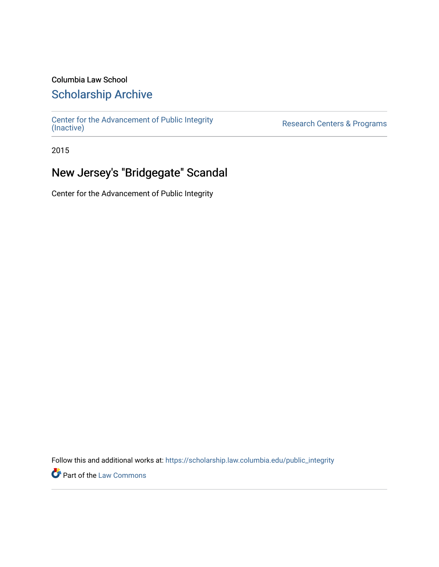### Columbia Law School

### [Scholarship Archive](https://scholarship.law.columbia.edu/)

[Center for the Advancement of Public Integrity](https://scholarship.law.columbia.edu/public_integrity)<br>(Inactive)

Research Centers & Programs

2015

## New Jersey's "Bridgegate" Scandal

Center for the Advancement of Public Integrity

Follow this and additional works at: [https://scholarship.law.columbia.edu/public\\_integrity](https://scholarship.law.columbia.edu/public_integrity?utm_source=scholarship.law.columbia.edu%2Fpublic_integrity%2F103&utm_medium=PDF&utm_campaign=PDFCoverPages)

**Part of the [Law Commons](http://network.bepress.com/hgg/discipline/578?utm_source=scholarship.law.columbia.edu%2Fpublic_integrity%2F103&utm_medium=PDF&utm_campaign=PDFCoverPages)**